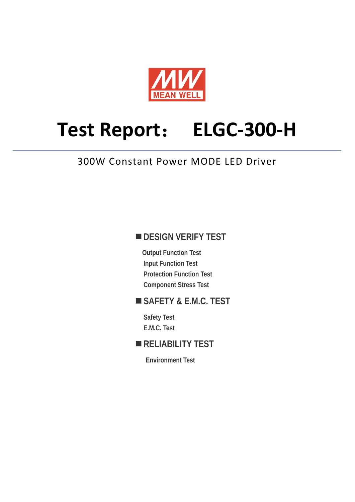

# **Test Report**: **ELGC-300-H**

## 300W Constant Power MODE LED Driver

## **DESIGN VERIFY TEST**

**Output Function Test Input Function Test Protection Function Test Component Stress Test** 

## **SAFETY & E.M.C. TEST**

**Safety Test E.M.C. Test** 

## **RELIABILITY TEST**

**Environment Test**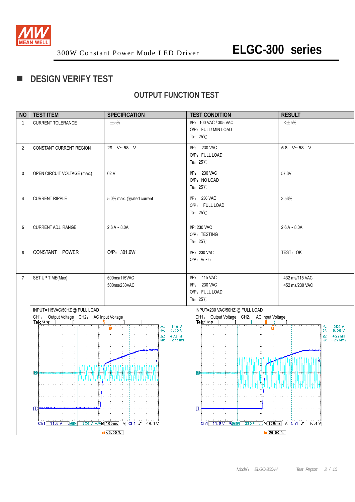

## **DESIGN VERIFY TEST**

## **OUTPUT FUNCTION TEST**

| <b>NO</b>      | <b>TEST ITEM</b>                                      | <b>SPECIFICATION</b>                      | <b>TEST CONDITION</b>                                 | <b>RESULT</b>                                                              |
|----------------|-------------------------------------------------------|-------------------------------------------|-------------------------------------------------------|----------------------------------------------------------------------------|
| 1              | CURRENT TOLERANCE                                     | $\pm$ 5%                                  | I/P: 100 VAC / 305 VAC                                | $<\pm 5\%$                                                                 |
|                |                                                       |                                           | O/P: FULL/ MIN LOAD                                   |                                                                            |
|                |                                                       |                                           | Ta: $25^{\circ}$ C                                    |                                                                            |
| $\overline{2}$ | CONSTANT CURRENT REGION                               | 29 V~58 V                                 | I/P: 230 VAC                                          | 5.8 V~58 V                                                                 |
|                |                                                       |                                           | O/P: FULL LOAD                                        |                                                                            |
|                |                                                       |                                           | Ta: $25^{\circ}$ C                                    |                                                                            |
| 3              | OPEN CIRCUIT VOLTAGE (max.)                           | 62 V                                      | I/P: 230 VAC                                          | 57.3V                                                                      |
|                |                                                       |                                           | O/P: NO LOAD                                          |                                                                            |
|                |                                                       |                                           | Ta: $25^{\circ}$ C                                    |                                                                            |
| 4              | <b>CURRENT RIPPLE</b>                                 | 5.0% max. @rated current                  | I/P: 230 VAC                                          | 3.53%                                                                      |
|                |                                                       |                                           | O/P: FULL LOAD                                        |                                                                            |
|                |                                                       |                                           | Ta: $25^{\circ}$ C                                    |                                                                            |
| 5              | CURRENT ADJ. RANGE                                    | $2.6 A - 8.0 A$                           | I/P: 230 VAC                                          | $2.6 A - 8.0 A$                                                            |
|                |                                                       |                                           | O/P: TESTING                                          |                                                                            |
|                |                                                       |                                           | Ta: $25^{\circ}$ C                                    |                                                                            |
| 6              | CONSTANT POWER                                        | O/P: 301.6W                               | I/P: 230 VAC                                          | TEST: OK                                                                   |
|                |                                                       |                                           | O/P: Vo×lo                                            |                                                                            |
|                |                                                       |                                           |                                                       |                                                                            |
| $\overline{7}$ | SET UP TIME(Max)                                      | 500ms/115VAC                              | I/P: 115 VAC                                          | 432 ms/115 VAC                                                             |
|                |                                                       | 500ms/230VAC                              | I/P: 230 VAC                                          | 452 ms/230 VAC                                                             |
|                |                                                       |                                           | O/P: FULL LOAD<br>Ta: $25^{\circ}$ C                  |                                                                            |
|                |                                                       |                                           |                                                       |                                                                            |
|                | INPUT=115VAC/50HZ@FULLLOAD                            |                                           | INPUT=230 VAC/50HZ @ FULL LOAD                        |                                                                            |
|                | CH1: Output Voltage CH2: AC Input Voltage<br>Tek Stop |                                           | CH1: Output Voltage CH2: AC Input Voltage<br>Tek Stop |                                                                            |
|                |                                                       | 140 V<br>Δ:<br>Ô<br>0.00V<br>@;           | n                                                     | $\begin{array}{c} 280 \text{ V} \\ 0.00 \text{ V} \end{array}$<br>Δ:<br>@: |
|                |                                                       | 432ms<br>Δ:<br>$@: -276ms$                |                                                       | 452ms<br>Δ:<br>@: -296ms                                                   |
|                |                                                       |                                           |                                                       |                                                                            |
|                |                                                       |                                           |                                                       |                                                                            |
|                |                                                       |                                           |                                                       |                                                                            |
|                | D<br>www                                              | A LE LA LA LA LA LA LA LA LA LA LA L      | 2                                                     |                                                                            |
|                |                                                       |                                           |                                                       |                                                                            |
|                |                                                       |                                           |                                                       |                                                                            |
|                |                                                       |                                           |                                                       |                                                                            |
|                |                                                       |                                           |                                                       |                                                                            |
|                | $\ket{1}$                                             |                                           | $\mathbb{E}$                                          |                                                                            |
|                | $Ch1$ 11.6 V NCh <sub>2</sub>                         | 250 V $\sqrt{N}$ M 100ms A Ch1 $f$ 46.4 V | $Ch1$ 11.6 V NCh <sub>2</sub>                         | 250 V $\sqrt{N}$ M 100ms A Ch1 $f$ 46.4 V                                  |
|                |                                                       | $\sqrt{60.00\%}$                          | $\sqrt{60.00\%}$                                      |                                                                            |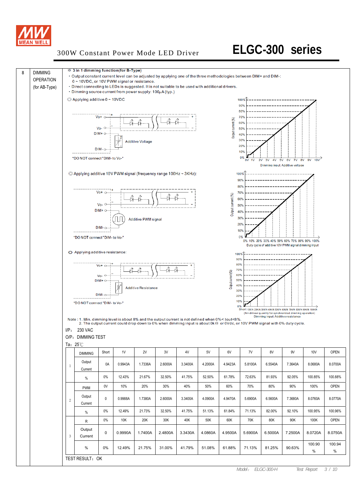

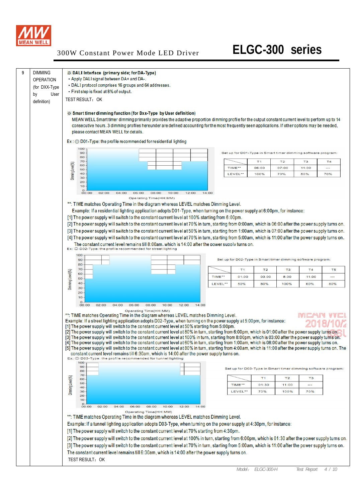

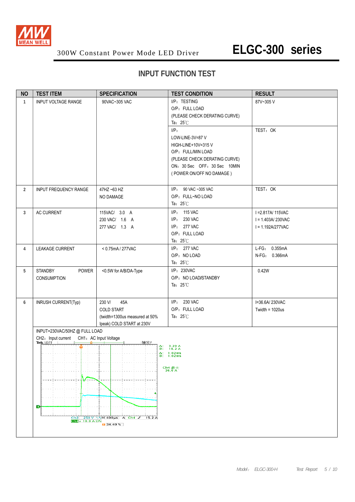

## **INPUT FUNCTION TEST**

| <b>NO</b>      | <b>TEST ITEM</b>                   | <b>SPECIFICATION</b>                                   | <b>TEST CONDITION</b>         | <b>RESULT</b>                  |  |  |  |  |
|----------------|------------------------------------|--------------------------------------------------------|-------------------------------|--------------------------------|--|--|--|--|
| 1              | <b>INPUT VOLTAGE RANGE</b>         | 90VAC~305 VAC                                          | I/P: TESTING                  | 87V~305V                       |  |  |  |  |
|                |                                    |                                                        | O/P: FULL LOAD                |                                |  |  |  |  |
|                |                                    |                                                        | (PLEASE CHECK DERATING CURVE) |                                |  |  |  |  |
|                |                                    |                                                        | Ta: $25^{\circ}$ C            |                                |  |  |  |  |
|                |                                    |                                                        | I/P:                          | TEST: OK                       |  |  |  |  |
|                |                                    |                                                        | LOW-LINE-3V=87 V              |                                |  |  |  |  |
|                |                                    |                                                        | HIGH-LINE+10V=315V            |                                |  |  |  |  |
|                |                                    |                                                        | O/P: FULL/MIN LOAD            |                                |  |  |  |  |
|                |                                    |                                                        | (PLEASE CHECK DERATING CURVE) |                                |  |  |  |  |
|                |                                    |                                                        | ON: 30 Sec OFF: 30 Sec 10MIN  |                                |  |  |  |  |
|                |                                    |                                                        | (POWER ON/OFF NO DAMAGE)      |                                |  |  |  |  |
|                |                                    |                                                        |                               |                                |  |  |  |  |
| $\overline{2}$ | <b>INPUT FREQUENCY RANGE</b>       | 47HZ ~63 HZ                                            | I/P: 90 VAC ~305 VAC          | TEST: OK                       |  |  |  |  |
|                |                                    | NO DAMAGE                                              | O/P: FULL~NO LOAD             |                                |  |  |  |  |
|                |                                    |                                                        | Ta: $25^{\circ}$ C            |                                |  |  |  |  |
| 3              | AC CURRENT                         | 115VAC/ 3.0 A                                          | I/P: 115 VAC                  | I = 2.817A/ 115VAC             |  |  |  |  |
|                |                                    | 230 VAC/ 1.6 A                                         | I/P: 230 VAC                  | $I = 1.403A/230VAC$            |  |  |  |  |
|                |                                    | 277 VAC/ 1.3 A                                         | I/P: 277 VAC                  | $I = 1.192A/277VAC$            |  |  |  |  |
|                |                                    |                                                        | O/P: FULL LOAD                |                                |  |  |  |  |
|                |                                    |                                                        | Ta: $25^{\circ}$ C            |                                |  |  |  |  |
| $\overline{4}$ | <b>LEAKAGE CURRENT</b>             | < 0.75mA / 277VAC                                      | I/P: 277 VAC<br>O/P: NO LOAD  | L-FG: 0.355mA<br>N-FG: 0.366mA |  |  |  |  |
|                |                                    |                                                        | Ta: $25^{\circ}$ C            |                                |  |  |  |  |
| 5              | POWER<br><b>STANDBY</b>            |                                                        | I/P: 230VAC                   | 0.42W                          |  |  |  |  |
|                | CONSUMPTION                        | <0.5W for A/B/DA-Type                                  | O/P: NO LOAD/STANDBY          |                                |  |  |  |  |
|                |                                    |                                                        | Ta: $25^{\circ}$ C            |                                |  |  |  |  |
|                |                                    |                                                        |                               |                                |  |  |  |  |
| 6              | INRUSH CURRENT(Typ)                | 45A<br>230 V/                                          | I/P: 230 VAC                  | I=36.6A/230VAC                 |  |  |  |  |
|                |                                    | <b>COLD START</b>                                      | O/P: FULL LOAD                | Twidth = $1020us$              |  |  |  |  |
|                |                                    | (twidth=1300us measured at 50%                         | Ta: $25^{\circ}$ C            |                                |  |  |  |  |
|                |                                    | Ipeak) COLD START at 230V                              |                               |                                |  |  |  |  |
|                | INPUT=230VAC/50HZ@FULLLOAD         |                                                        |                               |                                |  |  |  |  |
|                | CH2: Input current                 | CH1: AC Input Voltage                                  |                               |                                |  |  |  |  |
|                | Tek 运行                             | 触发?<br>Δ:<br>ത:                                        | $3.20 A$<br>$18.2 A$          |                                |  |  |  |  |
|                |                                    |                                                        | $\Delta$ : 1.02ms<br>1.02ms   |                                |  |  |  |  |
|                |                                    |                                                        |                               |                                |  |  |  |  |
|                |                                    |                                                        | Ch4 最大<br>36.6 A              |                                |  |  |  |  |
|                |                                    |                                                        |                               |                                |  |  |  |  |
|                |                                    |                                                        |                               |                                |  |  |  |  |
|                |                                    |                                                        |                               |                                |  |  |  |  |
|                |                                    |                                                        |                               |                                |  |  |  |  |
|                |                                    |                                                        |                               |                                |  |  |  |  |
|                |                                    |                                                        |                               |                                |  |  |  |  |
|                | Ch4 $\downarrow$ 10.0 A $\Omega$ M | Ch2 250 V \\M 400us A Ch4 J 15.2 A<br>$\sqrt{34.40\%}$ |                               |                                |  |  |  |  |
|                |                                    |                                                        |                               |                                |  |  |  |  |
|                |                                    |                                                        |                               |                                |  |  |  |  |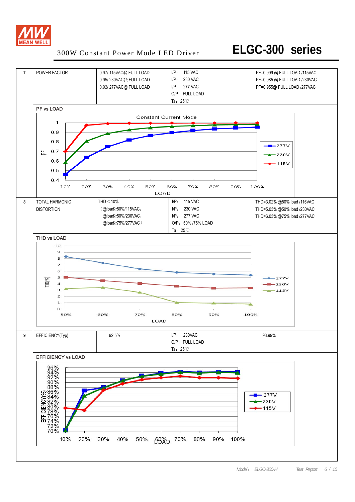

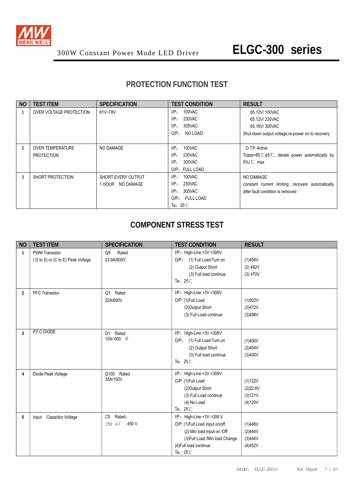

## **PROTECTION FUNCTION TEST**

| <b>NO</b> | <b>TEST ITEM</b>        | <b>SPECIFICATION</b>      | <b>TEST CONDITION</b>         | <b>RESULT</b>                                        |
|-----------|-------------------------|---------------------------|-------------------------------|------------------------------------------------------|
|           | OVER VOLTAGE PROTECTION | 61V~78V                   | 100VAC<br>IP:                 | 65.12V/100VAC                                        |
|           |                         |                           | 230VAC<br>$I/P$ :             | 65.12V/230VAC                                        |
|           |                         |                           | 305VAC<br>I/P:                | 65.18V/305VAC                                        |
|           |                         |                           | O/P <sub>z</sub><br>NO LOAD   | Shut down output voltage, re-power on to recovery    |
|           |                         |                           |                               |                                                      |
| 2         | <b>OVER TEMPERATURE</b> | NO DAMAGE                 | 100VAC<br>I/P:                | O.T.P. Active                                        |
|           | <b>PROTECTION</b>       |                           | $I/P$ :<br>230VAC             | Tcase>85 $C \pm 5$ °C, derate power automatically by |
|           |                         |                           | 305VAC<br>I/P:                | $6\%$ C max                                          |
|           |                         |                           | O/P: FULL LOAD                |                                                      |
| 3         | SHORT PROTECTION        | <b>SHORT EVERY OUTPUT</b> | 100VAC<br>$I/P$ :             | NO DAMAGE                                            |
|           |                         | 1 HOUR NO DAMAGE          | $I/P$ :<br>230VAC             | constant current limiting recovers automatically     |
|           |                         |                           | I/P:<br>305VAC                | after fault condition is removed                     |
|           |                         |                           | FULL LOAD<br>O/P <sub>z</sub> |                                                      |
|           |                         |                           | Ta: $25^{\circ}$ C            |                                                      |

#### **COMPONENT STRESS TEST**

| <b>NO</b>      | <b>TEST ITEM</b>                                           | <b>SPECIFICATION</b>                            | <b>TEST CONDITION</b>                                                                                                                                                       | <b>RESULT</b>                             |
|----------------|------------------------------------------------------------|-------------------------------------------------|-----------------------------------------------------------------------------------------------------------------------------------------------------------------------------|-------------------------------------------|
| $\mathbf{1}$   | <b>PWM Transistor</b><br>(D to S) or (C to E) Peak Voltage | Rated<br>Q <sub>5</sub><br>23.9A/600V           | $I/P$ : High-Line +3V =308V<br>O/P: (1) Full Load Turn on<br>(2) Output Short<br>(3) Full load continue<br>Ta: $25^{\circ}$ C                                               | (1)456V<br>(2) 482V<br>$(3)$ 470V         |
| $\overline{2}$ | <b>PFC</b> Transistor                                      | Rated<br>Q1<br>22A/600V                         | I/P: High-Line +3V =308V<br>O/P: (1)Full Load<br>(2) Output Short<br>(3) Full Load continue                                                                                 | (1)502V<br>(2)472V<br>(3)498V             |
| 3              | P.F.C DIODE                                                | Rated<br>D <sub>1</sub><br>10A/600 V            | I/P: High-Line +3V =308V<br>O/P: (1) Full Load Turn on<br>(2) Output Short<br>(3) Full load continue<br>Ta: $25^{\circ}$ C                                                  | (1)450V<br>(2)454V<br>(3)450V             |
| 4              | Diode Peak Voltage                                         | Q100 Rated<br>35A/150V                          | I/P: High-Line +3V =308V<br>O/P: (1)Full Load<br>(2) Output Short<br>(3) Full Load continue<br>(4) No Load<br>Ta: $25^{\circ}$ C                                            | (1)122V<br>(2)22.8V<br>(3)121V<br>(4)120V |
| 5              | Input Capacitor Voltage                                    | Rated:<br>C <sub>5</sub><br>450 V<br>$150 \mu/$ | I/P: High-Line +3V =308 V<br>O/P: (1)Full Load input on/off<br>(2) Min load input on /Off<br>(3) Full Load /Min load Change<br>(4) Full load continue<br>Ta: $25^{\circ}$ C | (1)446V<br>(2)444V<br>(3)444V<br>(4)452V  |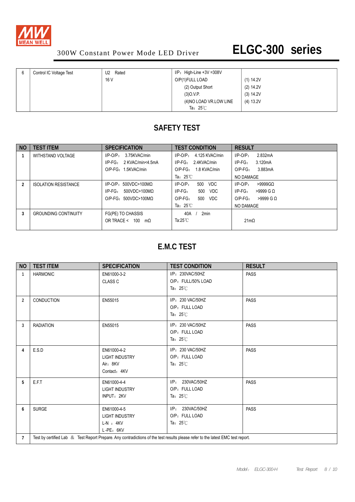

| Control IC Voltage Test | Rated<br>U <sub>2</sub> | $I/P$ : High-Line +3V =308V |           |
|-------------------------|-------------------------|-----------------------------|-----------|
|                         | 16 V                    | O/P(1)FULL LOAD             | (1) 14.2V |
|                         |                         | (2) Output Short            | (2) 14.2V |
|                         |                         | (3)0.V.P.                   | (3) 14.2V |
|                         |                         | (4) NO LOAD VR.LOW LINE     | (4) 13.2V |
|                         |                         | Ta: $25^\circ\text{C}$      |           |

## **SAFETY TEST**

| <b>NO</b> | <b>TEST ITEM</b>            | <b>SPECIFICATION</b>             | <b>TEST CONDITION</b>            | <b>RESULT</b>                    |
|-----------|-----------------------------|----------------------------------|----------------------------------|----------------------------------|
|           | WITHSTAND VOLTAGE           | 3.75KVAC/min<br>$I/P-O/P$ :      | 4.125 KVAC/min<br>$I/P$ -O/P $:$ | 2.832mA<br>$I/P$ -O/P:           |
|           |                             | 2 KVAC/min<4.5mA<br>$I/P-FG$ :   | $I/P-FG: 2.4KVAC/min$            | $I/P-FG$ :<br>3.120mA            |
|           |                             | O/P-FG: 1.5KVAC/min              | O/P-FG: 1.8 KVAC/min             | $O/P-FG$ :<br>3.883mA            |
|           |                             |                                  | Ta: $25^{\circ}$ C               | NO DAMAGE                        |
| 2         | <b>ISOLATION RESISTANCE</b> | $I/P$ -O/P: 500VDC>100M $\Omega$ | 500<br>$I/P-O/P$ :<br>VDC        | $>9999$ GQ<br>$I/P$ -O/P:        |
|           |                             | $I/P-FG$ :<br>500VDC>100MΩ       | $I/P\text{-FG}$ :<br>500<br>VDC  | $I/P-FG$ :<br>$>9999$ G $\Omega$ |
|           |                             | $O/P-FG: 500VDC > 100MO$         | $O/P-FG$ :<br><b>VDC</b><br>500  | $>9999$ G Q<br>$O/P-FG$ :        |
|           |                             |                                  | Ta: $25^{\circ}$ C               | NO DAMAGE                        |
| 3         | <b>GROUNDING CONTINUITY</b> | FG(PE) TO CHASSIS                | 2 <sub>min</sub><br>40A          |                                  |
|           |                             | OR TRACE $<$ 100<br>$m\Omega$    | Ta:25 $\mathbb{C}$               | $21 \text{m}\Omega$              |
|           |                             |                                  |                                  |                                  |

## **E.M.C TEST**

| <b>NO</b>      | <b>TEST ITEM</b>                                                                                                                | <b>SPECIFICATION</b>                                               | <b>TEST CONDITION</b>                                          | <b>RESULT</b> |  |  |  |
|----------------|---------------------------------------------------------------------------------------------------------------------------------|--------------------------------------------------------------------|----------------------------------------------------------------|---------------|--|--|--|
| $\mathbf{1}$   | <b>HARMONIC</b>                                                                                                                 | EN61000-3-2<br><b>CLASS C</b>                                      | I/P: 230VAC/50HZ<br>O/P: FULL/50% LOAD<br>Ta: $25^{\circ}$ C   | <b>PASS</b>   |  |  |  |
| 2              | CONDUCTION                                                                                                                      | EN55015                                                            | I/P: 230 VAC/50HZ<br>O/P: FULL LOAD<br>Ta: $25^\circ\text{C}$  | <b>PASS</b>   |  |  |  |
| 3              | <b>RADIATION</b>                                                                                                                | EN55015                                                            | I/P: 230 VAC/50HZ<br>O/P: FULL LOAD<br>Ta: $25^{\circ}$ C      | <b>PASS</b>   |  |  |  |
| 4              | E.S.D                                                                                                                           | EN61000-4-2<br><b>LIGHT INDUSTRY</b><br>Air: 8KV<br>Contact: 4KV   | I/P: 230 VAC/50HZ<br>O/P: FULL LOAD<br>Ta: $25^\circ$ C        | <b>PASS</b>   |  |  |  |
| 5              | E.F.T                                                                                                                           | EN61000-4-4<br><b>LIGHT INDUSTRY</b><br>INPUT: 2KV                 | 230VAC/50HZ<br>$I/P$ :<br>O/P: FULL LOAD<br>Ta: $25^{\circ}$ C | <b>PASS</b>   |  |  |  |
| 6              | <b>SURGE</b>                                                                                                                    | EN61000-4-5<br><b>LIGHT INDUSTRY</b><br>$L-N$ : $4KV$<br>L-PE: 6KV | 230VAC/50HZ<br>UP:<br>O/P: FULL LOAD<br>Ta: $25^\circ$ C       | <b>PASS</b>   |  |  |  |
| $\overline{7}$ | Test by certified Lab & Test Report Prepare. Any contradictions of the test results please refer to the latest EMC test report. |                                                                    |                                                                |               |  |  |  |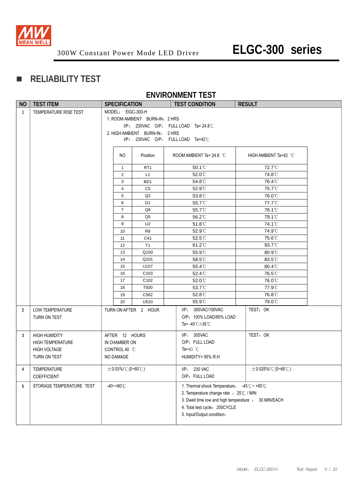

## **RELIABILITY TEST**

#### **ENVIRONMENT TEST**

| <b>NO</b>      | <b>TEST ITEM</b>                                                                       |                         | <b>SPECIFICATION</b>                                          |                                                                  | <b>TEST CONDITION</b>                                                                                                                                                                                         | <b>RESULT</b>            |
|----------------|----------------------------------------------------------------------------------------|-------------------------|---------------------------------------------------------------|------------------------------------------------------------------|---------------------------------------------------------------------------------------------------------------------------------------------------------------------------------------------------------------|--------------------------|
| $\mathbf{1}$   | TEMPERATURE RISE TEST                                                                  |                         | MODEL: EIGC-300-H                                             | 1. ROOM AMBIENT BURN-IN: 2 HRS<br>2. HIGH AMBIENT BURN-IN: 2 HRS | $I/P$ : 230VAC O/P: FULL LOAD Ta= 24.8°C<br>I/P: 230VAC O/P: FULL LOAD Ta=42°C                                                                                                                                |                          |
|                |                                                                                        |                         | NO.                                                           | Position                                                         | ROOM AMBIENT Ta= 24.8 °C                                                                                                                                                                                      | HIGH AMBIENT Ta=42 °C    |
|                |                                                                                        |                         | $\mathbf{1}$                                                  | RT <sub>1</sub>                                                  | 50.1°C                                                                                                                                                                                                        | 72.7°C                   |
|                |                                                                                        |                         | 2                                                             | L1                                                               | 52.0°C                                                                                                                                                                                                        | 74.8°C                   |
|                |                                                                                        |                         | 3                                                             | BD <sub>1</sub>                                                  | 54.8°C                                                                                                                                                                                                        | 76.4°C                   |
|                |                                                                                        |                         | $\overline{\mathbf{4}}$                                       | C <sub>5</sub>                                                   | 52.9°C                                                                                                                                                                                                        | 75.7°C                   |
|                |                                                                                        |                         | $\sqrt{5}$                                                    | Q2                                                               | 53.8°C                                                                                                                                                                                                        | 76.0°C                   |
|                |                                                                                        |                         | 6                                                             | D1                                                               | 55.7°C                                                                                                                                                                                                        | 77.7°C                   |
|                |                                                                                        |                         | $\overline{7}$                                                | Q6                                                               | 55.7°C                                                                                                                                                                                                        | 78.1°C                   |
|                |                                                                                        |                         | 8                                                             | Q5                                                               | 56.2°C                                                                                                                                                                                                        | 79.1°C                   |
|                |                                                                                        |                         | 9                                                             | U <sub>2</sub>                                                   | $51.8^{\circ}$ C                                                                                                                                                                                              | 74.1°C                   |
|                |                                                                                        |                         | 10                                                            | R <sub>8</sub>                                                   | $52.9^{\circ}$                                                                                                                                                                                                | 74.9℃                    |
|                |                                                                                        |                         | 11                                                            | C41                                                              | $52.5^{\circ}$                                                                                                                                                                                                | 75.6°C                   |
|                |                                                                                        |                         | 12                                                            | T1                                                               | $61.2^{\circ}$ C                                                                                                                                                                                              | 93.7°C                   |
|                |                                                                                        |                         | 13                                                            | Q100                                                             | 55.9°C                                                                                                                                                                                                        | $80.9^{\circ}$ C         |
|                |                                                                                        |                         | 14                                                            | Q101                                                             | 58.5°C                                                                                                                                                                                                        | $83.5^{\circ}$ C         |
|                |                                                                                        |                         | 15                                                            | U107                                                             | 55.4°C                                                                                                                                                                                                        | 80.4°C                   |
|                |                                                                                        |                         | 16                                                            | C <sub>103</sub>                                                 | $52.4^{\circ}$ C                                                                                                                                                                                              | 76.5℃                    |
|                |                                                                                        |                         | 17                                                            | C <sub>102</sub>                                                 | 52.0°C                                                                                                                                                                                                        | 76.0℃                    |
|                |                                                                                        |                         | 18                                                            | T500                                                             | 53.7°C                                                                                                                                                                                                        | 77.9°C                   |
|                |                                                                                        |                         | 19                                                            | C562                                                             | 52.8°C                                                                                                                                                                                                        | 76.8°C                   |
|                |                                                                                        |                         | 20                                                            | U510                                                             | 55.9°C                                                                                                                                                                                                        | 79.0°C                   |
| $\overline{2}$ | LOW TEMPERATURE<br>TURN ON TEST                                                        |                         |                                                               | TURN ON AFTER 2 HOUR                                             | I/P: 305VAC/100VAC<br>O/P: 100% LOAD/85% LOAD<br>Ta= $-45^{\circ}$ C/-35 $^{\circ}$ C                                                                                                                         | TEST: OK                 |
| 3              | <b>HIGH HUMIDITY</b><br><b>HIGH TEMPERATURE</b><br><b>HIGH VOLTAGE</b><br>TURN ON TEST |                         | AFTER 12 HOURS<br>IN CHAMBER ON<br>CONTROL 40 °C<br>NO DAMAGE |                                                                  | I/P: 305VAC<br>O/P: FULL LOAD<br>Ta=40 $^{\circ}$ C<br>HUMIDITY= 95% R.H                                                                                                                                      | TEST: OK                 |
| 4              | TEMPERATURE<br>COEFFICIENT                                                             | $\pm$ 0.03%/°C (0~60°C) |                                                               |                                                                  | I/P: 230 VAC<br>O/P: FULL LOAD                                                                                                                                                                                | $\pm$ 0.025%/°C (0~60°C) |
| 5              | STORAGE TEMPERATURE TEST                                                               |                         | $-40 - +80^{\circ}$ C                                         |                                                                  | 1. Thermal shock Temperature: -45°C ~ +85°C<br>2. Temperature change rate : 25°C / MIN<br>3. Dwell time low and high temperature : 30 MIN/EACH<br>4. Total test cycle: 200CYCLE<br>5. Input/Output condition: |                          |